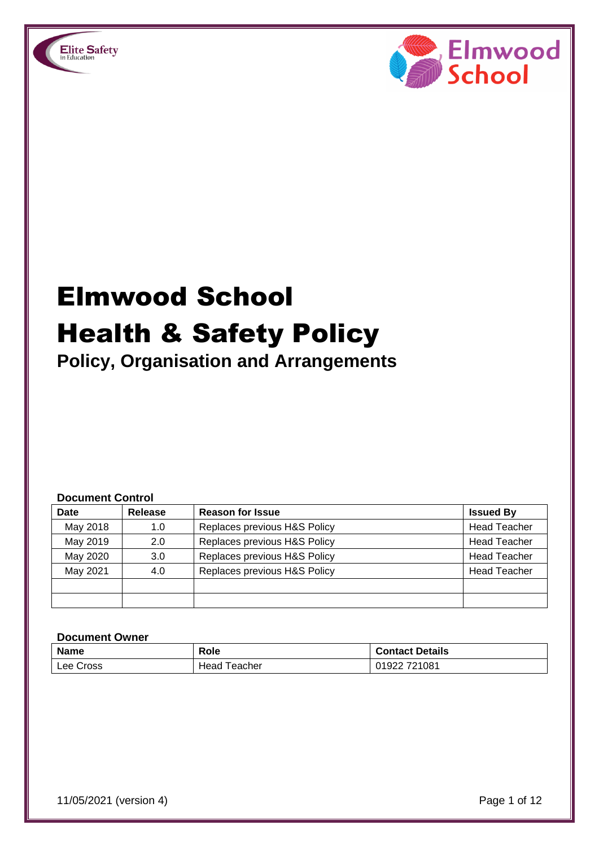



# Elmwood School Health & Safety Policy

**Policy, Organisation and Arrangements**

#### **Document Control**

| <b>Date</b> | Release | <b>Reason for Issue</b>      | <b>Issued By</b>    |
|-------------|---------|------------------------------|---------------------|
| May 2018    | 1.0     | Replaces previous H&S Policy | <b>Head Teacher</b> |
| May 2019    | 2.0     | Replaces previous H&S Policy | <b>Head Teacher</b> |
| May 2020    | 3.0     | Replaces previous H&S Policy | <b>Head Teacher</b> |
| May 2021    | 4.0     | Replaces previous H&S Policy | <b>Head Teacher</b> |
|             |         |                              |                     |
|             |         |                              |                     |

#### **Document Owner**

| <b>Name</b> | Role            | <b>Contact Details</b> |
|-------------|-----------------|------------------------|
| Lee Cross   | Teacher<br>Head | 01922 721081           |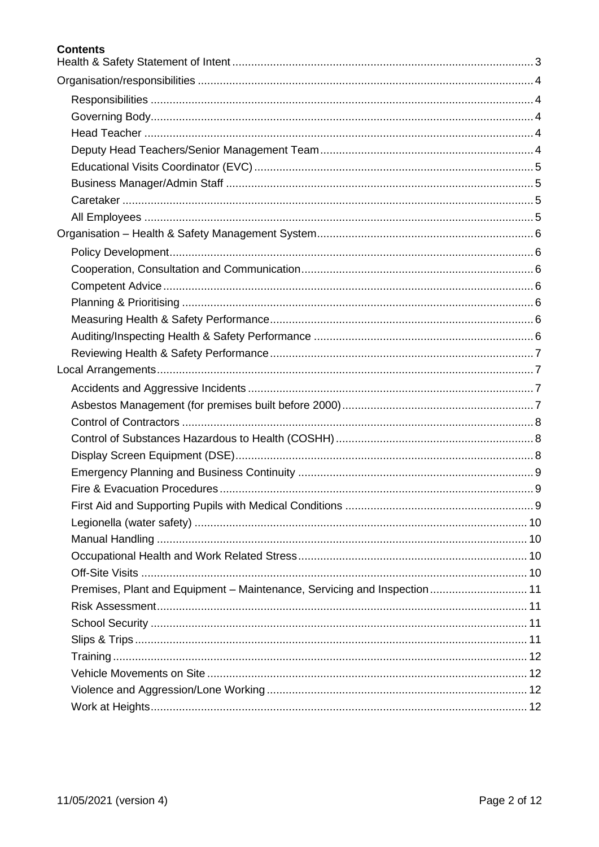## **Contents**

| Premises, Plant and Equipment - Maintenance, Servicing and Inspection 11 |  |
|--------------------------------------------------------------------------|--|
|                                                                          |  |
|                                                                          |  |
|                                                                          |  |
|                                                                          |  |
|                                                                          |  |
|                                                                          |  |
|                                                                          |  |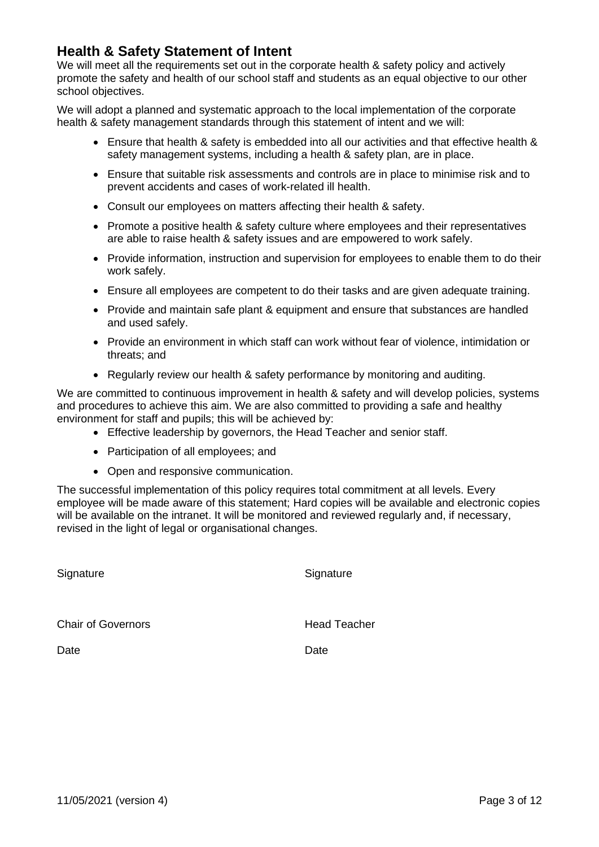# <span id="page-2-0"></span>**Health & Safety Statement of Intent**

We will meet all the requirements set out in the corporate health & safety policy and actively promote the safety and health of our school staff and students as an equal objective to our other school objectives.

We will adopt a planned and systematic approach to the local implementation of the corporate health & safety management standards through this statement of intent and we will:

- Ensure that health & safety is embedded into all our activities and that effective health & safety management systems, including a health & safety plan, are in place.
- Ensure that suitable risk assessments and controls are in place to minimise risk and to prevent accidents and cases of work-related ill health.
- Consult our employees on matters affecting their health & safety.
- Promote a positive health & safety culture where employees and their representatives are able to raise health & safety issues and are empowered to work safely.
- Provide information, instruction and supervision for employees to enable them to do their work safely.
- Ensure all employees are competent to do their tasks and are given adequate training.
- Provide and maintain safe plant & equipment and ensure that substances are handled and used safely.
- Provide an environment in which staff can work without fear of violence, intimidation or threats; and
- Regularly review our health & safety performance by monitoring and auditing.

We are committed to continuous improvement in health & safety and will develop policies, systems and procedures to achieve this aim. We are also committed to providing a safe and healthy environment for staff and pupils; this will be achieved by:

- Effective leadership by governors, the Head Teacher and senior staff.
- Participation of all employees; and
- Open and responsive communication.

The successful implementation of this policy requires total commitment at all levels. Every employee will be made aware of this statement; Hard copies will be available and electronic copies will be available on the intranet. It will be monitored and reviewed regularly and, if necessary, revised in the light of legal or organisational changes.

**Signature** 

**Signature** 

Chair of Governors

Head Teacher

**Date** 

**Date**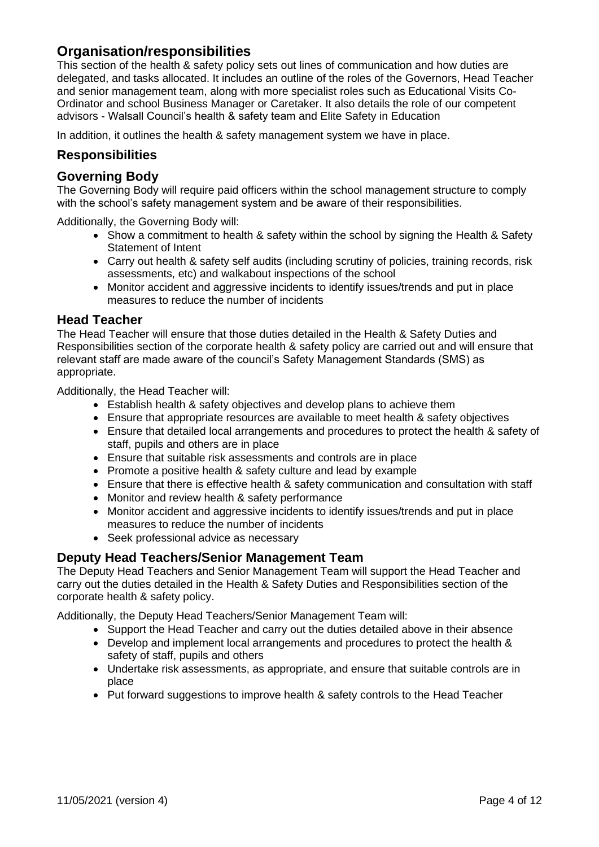# <span id="page-3-0"></span>**Organisation/responsibilities**

This section of the health & safety policy sets out lines of communication and how duties are delegated, and tasks allocated. It includes an outline of the roles of the Governors, Head Teacher and senior management team, along with more specialist roles such as Educational Visits Co-Ordinator and school Business Manager or Caretaker. It also details the role of our competent advisors - Walsall Council's health & safety team and Elite Safety in Education

In addition, it outlines the health & safety management system we have in place.

## <span id="page-3-1"></span>**Responsibilities**

## <span id="page-3-2"></span>**Governing Body**

The Governing Body will require paid officers within the school management structure to comply with the school's safety management system and be aware of their responsibilities.

Additionally, the Governing Body will:

- Show a commitment to health & safety within the school by signing the Health & Safety Statement of Intent
- Carry out health & safety self audits (including scrutiny of policies, training records, risk assessments, etc) and walkabout inspections of the school
- Monitor accident and aggressive incidents to identify issues/trends and put in place measures to reduce the number of incidents

#### <span id="page-3-3"></span>**Head Teacher**

The Head Teacher will ensure that those duties detailed in the Health & Safety Duties and Responsibilities section of the corporate health & safety policy are carried out and will ensure that relevant staff are made aware of the council's Safety Management Standards (SMS) as appropriate.

Additionally, the Head Teacher will:

- Establish health & safety objectives and develop plans to achieve them
- Ensure that appropriate resources are available to meet health & safety objectives
- Ensure that detailed local arrangements and procedures to protect the health & safety of staff, pupils and others are in place
- Ensure that suitable risk assessments and controls are in place
- Promote a positive health & safety culture and lead by example
- Ensure that there is effective health & safety communication and consultation with staff
- Monitor and review health & safety performance
- Monitor accident and aggressive incidents to identify issues/trends and put in place measures to reduce the number of incidents
- Seek professional advice as necessary

## <span id="page-3-4"></span>**Deputy Head Teachers/Senior Management Team**

The Deputy Head Teachers and Senior Management Team will support the Head Teacher and carry out the duties detailed in the Health & Safety Duties and Responsibilities section of the corporate health & safety policy.

Additionally, the Deputy Head Teachers/Senior Management Team will:

- Support the Head Teacher and carry out the duties detailed above in their absence
- Develop and implement local arrangements and procedures to protect the health & safety of staff, pupils and others
- Undertake risk assessments, as appropriate, and ensure that suitable controls are in place
- Put forward suggestions to improve health & safety controls to the Head Teacher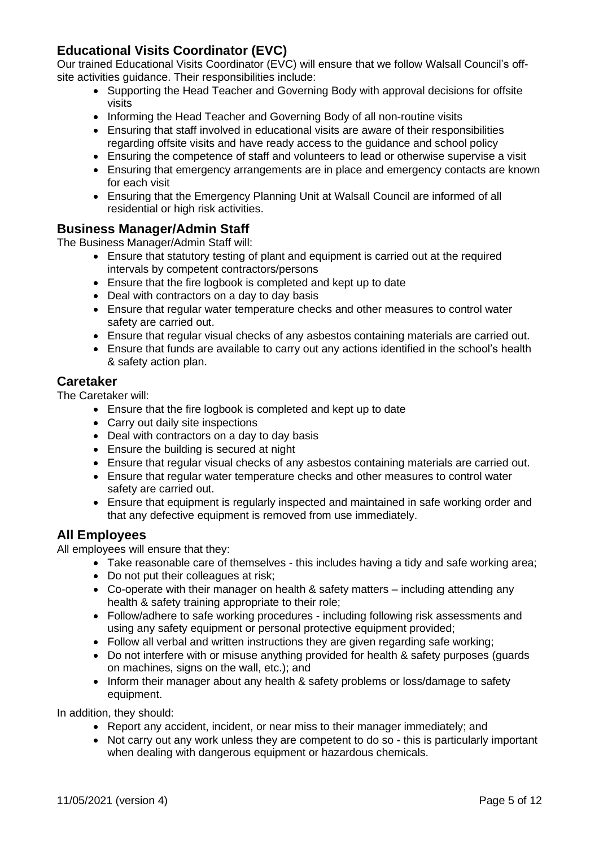# <span id="page-4-0"></span>**Educational Visits Coordinator (EVC)**

Our trained Educational Visits Coordinator (EVC) will ensure that we follow Walsall Council's offsite activities guidance. Their responsibilities include:

- Supporting the Head Teacher and Governing Body with approval decisions for offsite visits
- Informing the Head Teacher and Governing Body of all non-routine visits
- Ensuring that staff involved in educational visits are aware of their responsibilities regarding offsite visits and have ready access to the guidance and school policy
- Ensuring the competence of staff and volunteers to lead or otherwise supervise a visit
- Ensuring that emergency arrangements are in place and emergency contacts are known for each visit
- Ensuring that the Emergency Planning Unit at Walsall Council are informed of all residential or high risk activities.

## <span id="page-4-1"></span>**Business Manager/Admin Staff**

The Business Manager/Admin Staff will:

- Ensure that statutory testing of plant and equipment is carried out at the required intervals by competent contractors/persons
- Ensure that the fire logbook is completed and kept up to date
- Deal with contractors on a day to day basis
- Ensure that regular water temperature checks and other measures to control water safety are carried out.
- Ensure that regular visual checks of any asbestos containing materials are carried out.
- Ensure that funds are available to carry out any actions identified in the school's health & safety action plan.

## <span id="page-4-2"></span>**Caretaker**

The Caretaker will:

- Ensure that the fire logbook is completed and kept up to date
- Carry out daily site inspections
- Deal with contractors on a day to day basis
- Ensure the building is secured at night
- Ensure that regular visual checks of any asbestos containing materials are carried out.
- Ensure that regular water temperature checks and other measures to control water safety are carried out.
- Ensure that equipment is regularly inspected and maintained in safe working order and that any defective equipment is removed from use immediately.

## <span id="page-4-3"></span>**All Employees**

All employees will ensure that they:

- Take reasonable care of themselves this includes having a tidy and safe working area;
- Do not put their colleagues at risk;
- Co-operate with their manager on health & safety matters including attending any health & safety training appropriate to their role;
- Follow/adhere to safe working procedures including following risk assessments and using any safety equipment or personal protective equipment provided;
- Follow all verbal and written instructions they are given regarding safe working;
- Do not interfere with or misuse anything provided for health & safety purposes (guards on machines, signs on the wall, etc.); and
- Inform their manager about any health & safety problems or loss/damage to safety equipment.

In addition, they should:

- Report any accident, incident, or near miss to their manager immediately; and
- Not carry out any work unless they are competent to do so this is particularly important when dealing with dangerous equipment or hazardous chemicals.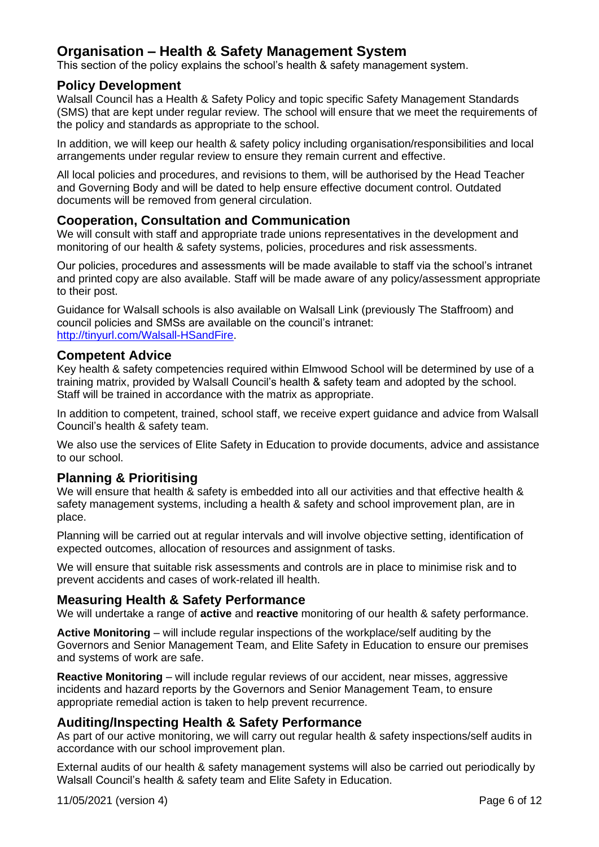# <span id="page-5-0"></span>**Organisation – Health & Safety Management System**

This section of the policy explains the school's health & safety management system.

#### <span id="page-5-1"></span>**Policy Development**

Walsall Council has a Health & Safety Policy and topic specific Safety Management Standards (SMS) that are kept under regular review. The school will ensure that we meet the requirements of the policy and standards as appropriate to the school.

In addition, we will keep our health & safety policy including organisation/responsibilities and local arrangements under regular review to ensure they remain current and effective.

All local policies and procedures, and revisions to them, will be authorised by the Head Teacher and Governing Body and will be dated to help ensure effective document control. Outdated documents will be removed from general circulation.

## <span id="page-5-2"></span>**Cooperation, Consultation and Communication**

We will consult with staff and appropriate trade unions representatives in the development and monitoring of our health & safety systems, policies, procedures and risk assessments.

Our policies, procedures and assessments will be made available to staff via the school's intranet and printed copy are also available. Staff will be made aware of any policy/assessment appropriate to their post.

Guidance for Walsall schools is also available on Walsall Link (previously The Staffroom) and council policies and SMSs are available on the council's intranet: [http://tinyurl.com/Walsall-HSandFire.](http://tinyurl.com/Walsall-HSandFire)

## <span id="page-5-3"></span>**Competent Advice**

Key health & safety competencies required within Elmwood School will be determined by use of a training matrix, provided by Walsall Council's health & safety team and adopted by the school. Staff will be trained in accordance with the matrix as appropriate.

In addition to competent, trained, school staff, we receive expert guidance and advice from Walsall Council's health & safety team.

We also use the services of Elite Safety in Education to provide documents, advice and assistance to our school.

## <span id="page-5-4"></span>**Planning & Prioritising**

We will ensure that health & safety is embedded into all our activities and that effective health & safety management systems, including a health & safety and school improvement plan, are in place.

Planning will be carried out at regular intervals and will involve objective setting, identification of expected outcomes, allocation of resources and assignment of tasks.

We will ensure that suitable risk assessments and controls are in place to minimise risk and to prevent accidents and cases of work-related ill health.

## <span id="page-5-5"></span>**Measuring Health & Safety Performance**

We will undertake a range of **active** and **reactive** monitoring of our health & safety performance.

**Active Monitoring** – will include regular inspections of the workplace/self auditing by the Governors and Senior Management Team, and Elite Safety in Education to ensure our premises and systems of work are safe.

**Reactive Monitoring** – will include regular reviews of our accident, near misses, aggressive incidents and hazard reports by the Governors and Senior Management Team, to ensure appropriate remedial action is taken to help prevent recurrence.

#### <span id="page-5-6"></span>**Auditing/Inspecting Health & Safety Performance**

As part of our active monitoring, we will carry out regular health & safety inspections/self audits in accordance with our school improvement plan.

External audits of our health & safety management systems will also be carried out periodically by Walsall Council's health & safety team and Elite Safety in Education.

11/05/2021 (version 4) Page 6 of 12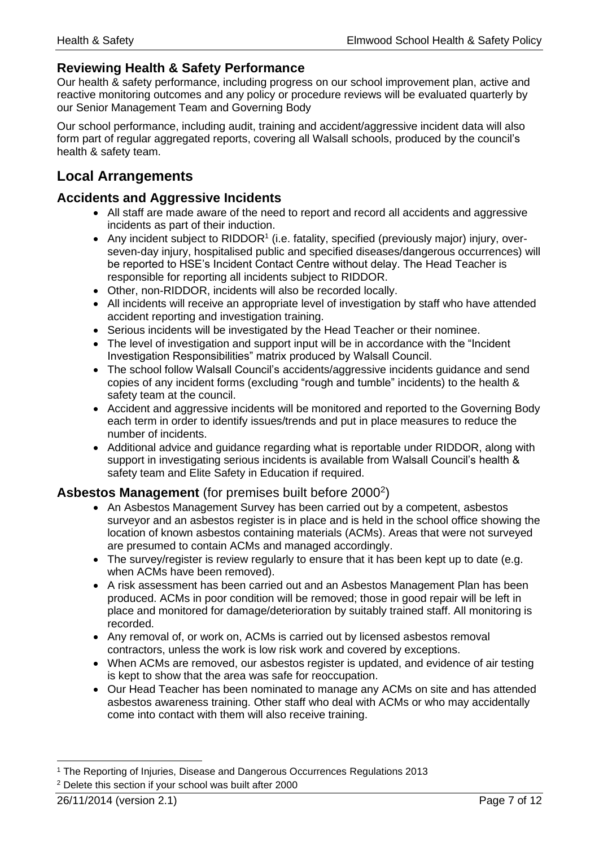## <span id="page-6-0"></span>**Reviewing Health & Safety Performance**

Our health & safety performance, including progress on our school improvement plan, active and reactive monitoring outcomes and any policy or procedure reviews will be evaluated quarterly by our Senior Management Team and Governing Body

Our school performance, including audit, training and accident/aggressive incident data will also form part of regular aggregated reports, covering all Walsall schools, produced by the council's health & safety team.

# <span id="page-6-1"></span>**Local Arrangements**

## <span id="page-6-2"></span>**Accidents and Aggressive Incidents**

- All staff are made aware of the need to report and record all accidents and aggressive incidents as part of their induction.
- Any incident subject to RIDDOR<sup>1</sup> (i.e. fatality, specified (previously major) injury, overseven-day injury, hospitalised public and specified diseases/dangerous occurrences) will be reported to HSE's Incident Contact Centre without delay. The Head Teacher is responsible for reporting all incidents subject to RIDDOR.
- Other, non-RIDDOR, incidents will also be recorded locally.
- All incidents will receive an appropriate level of investigation by staff who have attended accident reporting and investigation training.
- Serious incidents will be investigated by the Head Teacher or their nominee.
- The level of investigation and support input will be in accordance with the "Incident" Investigation Responsibilities" matrix produced by Walsall Council.
- The school follow Walsall Council's accidents/aggressive incidents guidance and send copies of any incident forms (excluding "rough and tumble" incidents) to the health & safety team at the council.
- Accident and aggressive incidents will be monitored and reported to the Governing Body each term in order to identify issues/trends and put in place measures to reduce the number of incidents.
- Additional advice and guidance regarding what is reportable under RIDDOR, along with support in investigating serious incidents is available from Walsall Council's health & safety team and Elite Safety in Education if required.

## <span id="page-6-3"></span>Asbestos Management (for premises built before 2000<sup>2</sup>)

- An Asbestos Management Survey has been carried out by a competent, asbestos surveyor and an asbestos register is in place and is held in the school office showing the location of known asbestos containing materials (ACMs). Areas that were not surveyed are presumed to contain ACMs and managed accordingly.
- The survey/register is review regularly to ensure that it has been kept up to date (e.g. when ACMs have been removed).
- A risk assessment has been carried out and an Asbestos Management Plan has been produced. ACMs in poor condition will be removed; those in good repair will be left in place and monitored for damage/deterioration by suitably trained staff. All monitoring is recorded.
- Any removal of, or work on, ACMs is carried out by licensed asbestos removal contractors, unless the work is low risk work and covered by exceptions.
- When ACMs are removed, our asbestos register is updated, and evidence of air testing is kept to show that the area was safe for reoccupation.
- Our Head Teacher has been nominated to manage any ACMs on site and has attended asbestos awareness training. Other staff who deal with ACMs or who may accidentally come into contact with them will also receive training.

<sup>1</sup> The Reporting of Injuries, Disease and Dangerous Occurrences Regulations 2013 <sup>2</sup> Delete this section if your school was built after 2000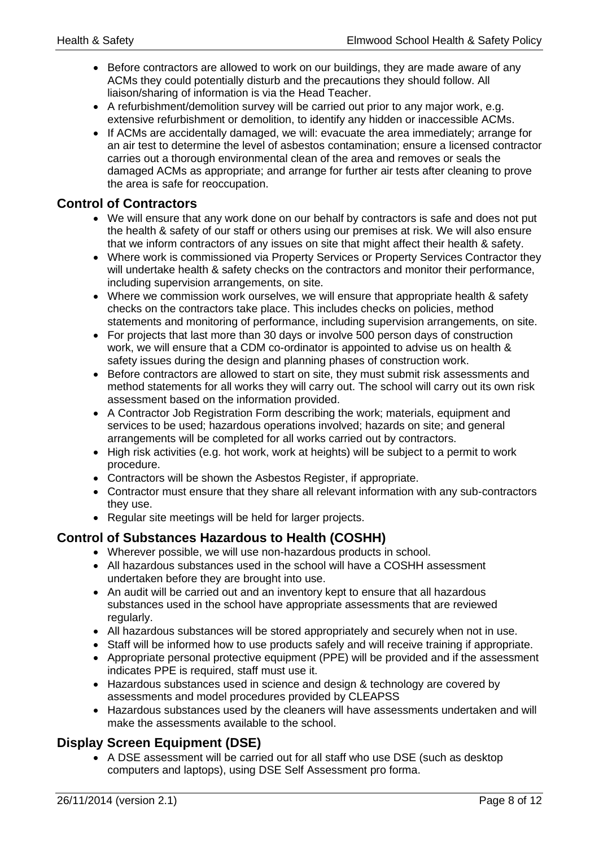- Before contractors are allowed to work on our buildings, they are made aware of any ACMs they could potentially disturb and the precautions they should follow. All liaison/sharing of information is via the Head Teacher.
- A refurbishment/demolition survey will be carried out prior to any major work, e.g. extensive refurbishment or demolition, to identify any hidden or inaccessible ACMs.
- If ACMs are accidentally damaged, we will: evacuate the area immediately; arrange for an air test to determine the level of asbestos contamination; ensure a licensed contractor carries out a thorough environmental clean of the area and removes or seals the damaged ACMs as appropriate; and arrange for further air tests after cleaning to prove the area is safe for reoccupation.

## <span id="page-7-0"></span>**Control of Contractors**

- We will ensure that any work done on our behalf by contractors is safe and does not put the health & safety of our staff or others using our premises at risk. We will also ensure that we inform contractors of any issues on site that might affect their health & safety.
- Where work is commissioned via Property Services or Property Services Contractor they will undertake health & safety checks on the contractors and monitor their performance, including supervision arrangements, on site.
- Where we commission work ourselves, we will ensure that appropriate health & safety checks on the contractors take place. This includes checks on policies, method statements and monitoring of performance, including supervision arrangements, on site.
- For projects that last more than 30 days or involve 500 person days of construction work, we will ensure that a CDM co-ordinator is appointed to advise us on health & safety issues during the design and planning phases of construction work.
- Before contractors are allowed to start on site, they must submit risk assessments and method statements for all works they will carry out. The school will carry out its own risk assessment based on the information provided.
- A Contractor Job Registration Form describing the work; materials, equipment and services to be used; hazardous operations involved; hazards on site; and general arrangements will be completed for all works carried out by contractors.
- High risk activities (e.g. hot work, work at heights) will be subject to a permit to work procedure.
- Contractors will be shown the Asbestos Register, if appropriate.
- Contractor must ensure that they share all relevant information with any sub-contractors they use.
- Regular site meetings will be held for larger projects.

## <span id="page-7-1"></span>**Control of Substances Hazardous to Health (COSHH)**

- Wherever possible, we will use non-hazardous products in school.
- All hazardous substances used in the school will have a COSHH assessment undertaken before they are brought into use.
- An audit will be carried out and an inventory kept to ensure that all hazardous substances used in the school have appropriate assessments that are reviewed regularly.
- All hazardous substances will be stored appropriately and securely when not in use.
- Staff will be informed how to use products safely and will receive training if appropriate.
- Appropriate personal protective equipment (PPE) will be provided and if the assessment indicates PPE is required, staff must use it.
- Hazardous substances used in science and design & technology are covered by assessments and model procedures provided by CLEAPSS
- Hazardous substances used by the cleaners will have assessments undertaken and will make the assessments available to the school.

## <span id="page-7-2"></span>**Display Screen Equipment (DSE)**

• A DSE assessment will be carried out for all staff who use DSE (such as desktop computers and laptops), using DSE Self Assessment pro forma.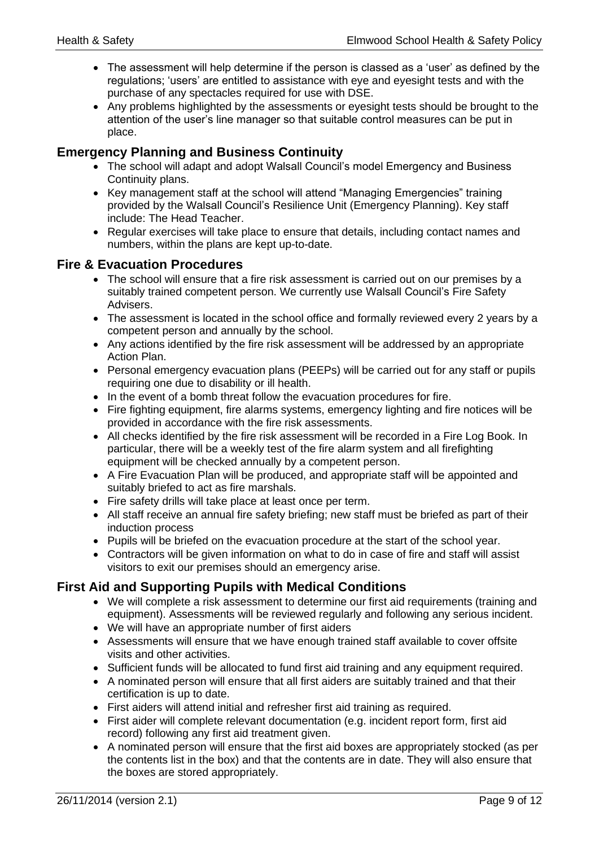- The assessment will help determine if the person is classed as a 'user' as defined by the regulations; 'users' are entitled to assistance with eye and eyesight tests and with the purchase of any spectacles required for use with DSE.
- Any problems highlighted by the assessments or eyesight tests should be brought to the attention of the user's line manager so that suitable control measures can be put in place.

## <span id="page-8-0"></span>**Emergency Planning and Business Continuity**

- The school will adapt and adopt Walsall Council's model Emergency and Business Continuity plans.
- Key management staff at the school will attend "Managing Emergencies" training provided by the Walsall Council's Resilience Unit (Emergency Planning). Key staff include: The Head Teacher.
- Regular exercises will take place to ensure that details, including contact names and numbers, within the plans are kept up-to-date.

## <span id="page-8-1"></span>**Fire & Evacuation Procedures**

- The school will ensure that a fire risk assessment is carried out on our premises by a suitably trained competent person. We currently use Walsall Council's Fire Safety Advisers.
- The assessment is located in the school office and formally reviewed every 2 years by a competent person and annually by the school.
- Any actions identified by the fire risk assessment will be addressed by an appropriate Action Plan.
- Personal emergency evacuation plans (PEEPs) will be carried out for any staff or pupils requiring one due to disability or ill health.
- In the event of a bomb threat follow the evacuation procedures for fire.
- Fire fighting equipment, fire alarms systems, emergency lighting and fire notices will be provided in accordance with the fire risk assessments.
- All checks identified by the fire risk assessment will be recorded in a Fire Log Book. In particular, there will be a weekly test of the fire alarm system and all firefighting equipment will be checked annually by a competent person.
- A Fire Evacuation Plan will be produced, and appropriate staff will be appointed and suitably briefed to act as fire marshals.
- Fire safety drills will take place at least once per term.
- All staff receive an annual fire safety briefing; new staff must be briefed as part of their induction process
- Pupils will be briefed on the evacuation procedure at the start of the school year.
- Contractors will be given information on what to do in case of fire and staff will assist visitors to exit our premises should an emergency arise.

## <span id="page-8-2"></span>**First Aid and Supporting Pupils with Medical Conditions**

- We will complete a risk assessment to determine our first aid requirements (training and equipment). Assessments will be reviewed regularly and following any serious incident.
- We will have an appropriate number of first aiders
- Assessments will ensure that we have enough trained staff available to cover offsite visits and other activities.
- Sufficient funds will be allocated to fund first aid training and any equipment required.
- A nominated person will ensure that all first aiders are suitably trained and that their certification is up to date.
- First aiders will attend initial and refresher first aid training as required.
- First aider will complete relevant documentation (e.g. incident report form, first aid record) following any first aid treatment given.
- A nominated person will ensure that the first aid boxes are appropriately stocked (as per the contents list in the box) and that the contents are in date. They will also ensure that the boxes are stored appropriately.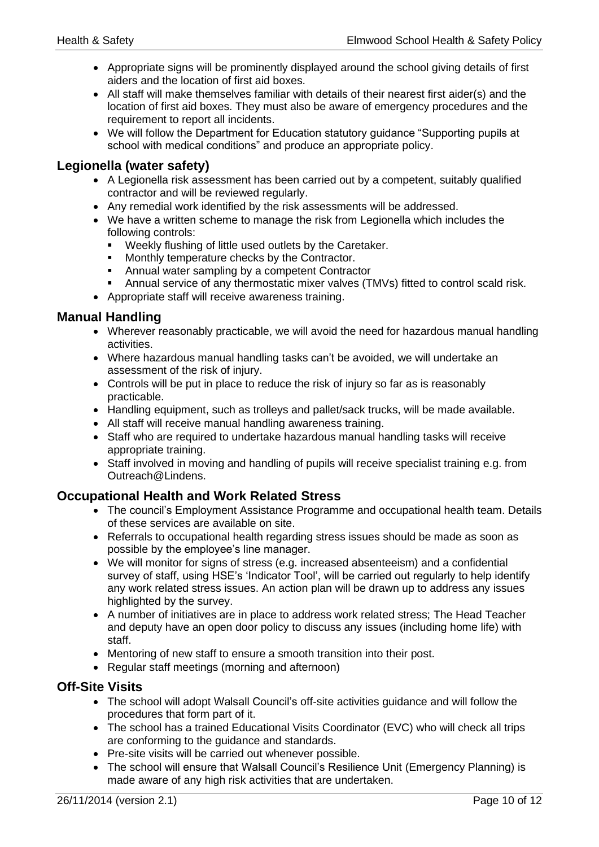- Appropriate signs will be prominently displayed around the school giving details of first aiders and the location of first aid boxes.
- All staff will make themselves familiar with details of their nearest first aider(s) and the location of first aid boxes. They must also be aware of emergency procedures and the requirement to report all incidents.
- We will follow the Department for Education statutory guidance "Supporting pupils at school with medical conditions" and produce an appropriate policy.

## <span id="page-9-0"></span>**Legionella (water safety)**

- A Legionella risk assessment has been carried out by a competent, suitably qualified contractor and will be reviewed regularly.
- Any remedial work identified by the risk assessments will be addressed.
- We have a written scheme to manage the risk from Legionella which includes the following controls:
	- Weekly flushing of little used outlets by the Caretaker.
	- Monthly temperature checks by the Contractor.
	- Annual water sampling by a competent Contractor
	- Annual service of any thermostatic mixer valves (TMVs) fitted to control scald risk.
- Appropriate staff will receive awareness training.

## <span id="page-9-1"></span>**Manual Handling**

- Wherever reasonably practicable, we will avoid the need for hazardous manual handling activities.
- Where hazardous manual handling tasks can't be avoided, we will undertake an assessment of the risk of injury.
- Controls will be put in place to reduce the risk of injury so far as is reasonably practicable.
- Handling equipment, such as trolleys and pallet/sack trucks, will be made available.
- All staff will receive manual handling awareness training.
- Staff who are required to undertake hazardous manual handling tasks will receive appropriate training.
- Staff involved in moving and handling of pupils will receive specialist training e.g. from Outreach@Lindens.

## <span id="page-9-2"></span>**Occupational Health and Work Related Stress**

- The council's Employment Assistance Programme and occupational health team. Details of these services are available on site.
- Referrals to occupational health regarding stress issues should be made as soon as possible by the employee's line manager.
- We will monitor for signs of stress (e.g. increased absenteeism) and a confidential survey of staff, using HSE's 'Indicator Tool', will be carried out regularly to help identify any work related stress issues. An action plan will be drawn up to address any issues highlighted by the survey.
- A number of initiatives are in place to address work related stress; The Head Teacher and deputy have an open door policy to discuss any issues (including home life) with staff.
- Mentoring of new staff to ensure a smooth transition into their post.
- Regular staff meetings (morning and afternoon)

## <span id="page-9-3"></span>**Off-Site Visits**

- The school will adopt Walsall Council's off-site activities guidance and will follow the procedures that form part of it.
- The school has a trained Educational Visits Coordinator (EVC) who will check all trips are conforming to the guidance and standards.
- Pre-site visits will be carried out whenever possible.
- The school will ensure that Walsall Council's Resilience Unit (Emergency Planning) is made aware of any high risk activities that are undertaken.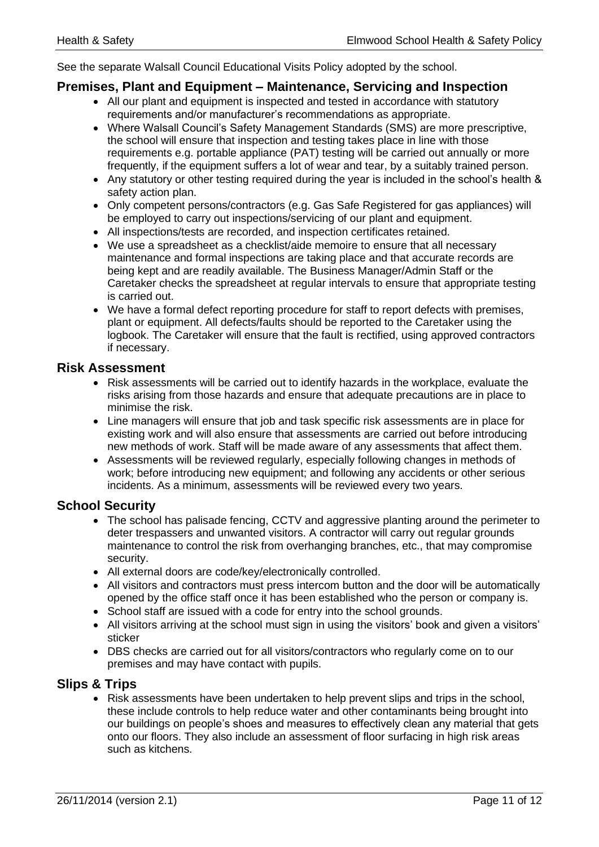See the separate Walsall Council Educational Visits Policy adopted by the school.

#### <span id="page-10-0"></span>**Premises, Plant and Equipment – Maintenance, Servicing and Inspection**

- All our plant and equipment is inspected and tested in accordance with statutory requirements and/or manufacturer's recommendations as appropriate.
- Where Walsall Council's Safety Management Standards (SMS) are more prescriptive, the school will ensure that inspection and testing takes place in line with those requirements e.g. portable appliance (PAT) testing will be carried out annually or more frequently, if the equipment suffers a lot of wear and tear, by a suitably trained person.
- Any statutory or other testing required during the year is included in the school's health & safety action plan.
- Only competent persons/contractors (e.g. Gas Safe Registered for gas appliances) will be employed to carry out inspections/servicing of our plant and equipment.
- All inspections/tests are recorded, and inspection certificates retained.
- We use a spreadsheet as a checklist/aide memoire to ensure that all necessary maintenance and formal inspections are taking place and that accurate records are being kept and are readily available. The Business Manager/Admin Staff or the Caretaker checks the spreadsheet at regular intervals to ensure that appropriate testing is carried out.
- We have a formal defect reporting procedure for staff to report defects with premises, plant or equipment. All defects/faults should be reported to the Caretaker using the logbook. The Caretaker will ensure that the fault is rectified, using approved contractors if necessary.

## <span id="page-10-1"></span>**Risk Assessment**

- Risk assessments will be carried out to identify hazards in the workplace, evaluate the risks arising from those hazards and ensure that adequate precautions are in place to minimise the risk.
- Line managers will ensure that job and task specific risk assessments are in place for existing work and will also ensure that assessments are carried out before introducing new methods of work. Staff will be made aware of any assessments that affect them.
- Assessments will be reviewed regularly, especially following changes in methods of work; before introducing new equipment; and following any accidents or other serious incidents. As a minimum, assessments will be reviewed every two years.

## <span id="page-10-2"></span>**School Security**

- The school has palisade fencing, CCTV and aggressive planting around the perimeter to deter trespassers and unwanted visitors. A contractor will carry out regular grounds maintenance to control the risk from overhanging branches, etc., that may compromise security.
- All external doors are code/key/electronically controlled.
- All visitors and contractors must press intercom button and the door will be automatically opened by the office staff once it has been established who the person or company is.
- School staff are issued with a code for entry into the school grounds.
- All visitors arriving at the school must sign in using the visitors' book and given a visitors' sticker
- DBS checks are carried out for all visitors/contractors who regularly come on to our premises and may have contact with pupils.

## <span id="page-10-3"></span>**Slips & Trips**

• Risk assessments have been undertaken to help prevent slips and trips in the school, these include controls to help reduce water and other contaminants being brought into our buildings on people's shoes and measures to effectively clean any material that gets onto our floors. They also include an assessment of floor surfacing in high risk areas such as kitchens.